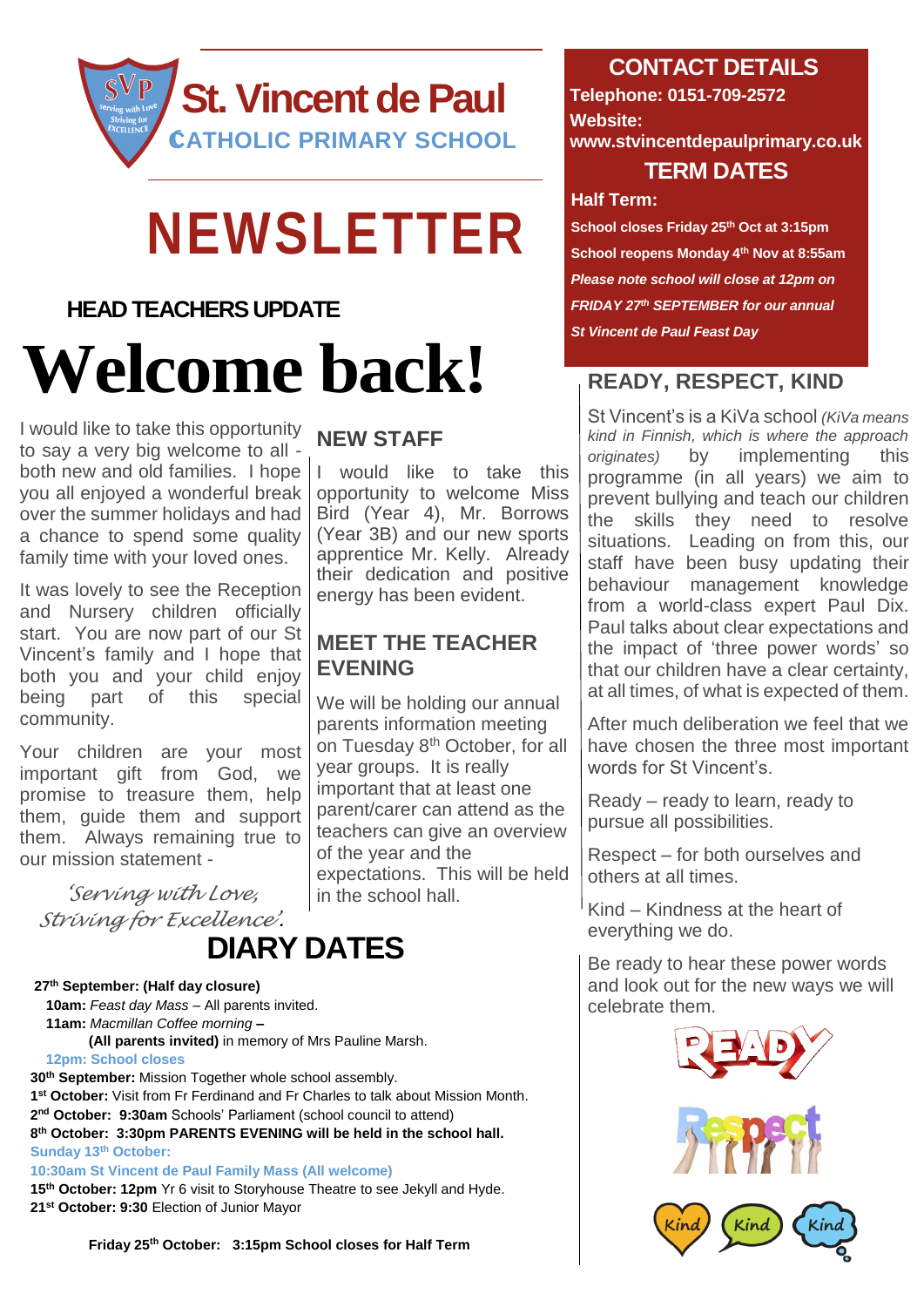

## **NEWSLETTER**

#### **HEAD TEACHERS UPDATE**

# **Welcome back!**

I would like to take this opportunity to say a very big welcome to all both new and old families. I hope you all enjoyed a wonderful break over the summer holidays and had a chance to spend some quality family time with your loved ones.

It was lovely to see the Reception and Nursery children officially start. You are now part of our St Vincent's family and I hope that both you and your child enjoy being part of this special community.

Your children are your most important gift from God, we promise to treasure them, help them, guide them and support them. Always remaining true to our mission statement -

*'Serving with Love, Striving for Excellence'.*

### **DIARY DATES**

#### **27 th September: (Half day closure)**

 **10am:** *Feast day Mass* – All parents invited.  **11am:** *Macmillan Coffee morning* **– (All parents invited)** in memory of Mrs Pauline Marsh.

**12pm: School closes** 

**th September:** Mission Together whole school assembly. **st October:** Visit from Fr Ferdinand and Fr Charles to talk about Mission Month. **nd October: 9:30am** Schools' Parliament (school council to attend) **th October: 3:30pm PARENTS EVENING will be held in the school hall. Sunday 13th October:**

**10:30am St Vincent de Paul Family Mass (All welcome) 15th October: 12pm** Yr 6 visit to Storyhouse Theatre to see Jekyll and Hyde. **21st October: 9:30** Election of Junior Mayor

 **Friday 25th October: 3:15pm School closes for Half Term** 

#### **NEW STAFF**

I would like to take this opportunity to welcome Miss Bird (Year 4), Mr. Borrows (Year 3B) and our new sports apprentice Mr. Kelly. Already their dedication and positive energy has been evident.

#### **MEET THE TEACHER EVENING**

We will be holding our annual parents information meeting on Tuesday 8<sup>th</sup> October, for all year groups. It is really important that at least one parent/carer can attend as the teachers can give an overview of the year and the expectations. This will be held in the school hall.

#### **CONTACT DETAILS**

**Telephone: 0151-709-2572 Website: www.stvincentdepaulprimary.co.uk TERM DATES**

#### **Half Term:**

**School closes Friday 25th Oct at 3:15pm School reopens Monday 4th Nov at 8:55am** *Please note school will close at 12pm on FRIDAY 27th SEPTEMBER for our annual St Vincent de Paul Feast Day*

#### **READY, RESPECT, KIND**

St Vincent's is a KiVa school *(KiVa means kind in Finnish, which is where the approach originates)* by implementing this programme (in all years) we aim to prevent bullying and teach our children the skills they need to resolve situations. Leading on from this, our staff have been busy updating their behaviour management knowledge from a world-class expert Paul Dix. Paul talks about clear expectations and the impact of 'three power words' so that our children have a clear certainty, at all times, of what is expected of them.

After much deliberation we feel that we have chosen the three most important words for St Vincent's.

Ready – ready to learn, ready to pursue all possibilities.

Respect – for both ourselves and others at all times.

Kind – Kindness at the heart of everything we do.

Be ready to hear these power words and look out for the new ways we will celebrate them.